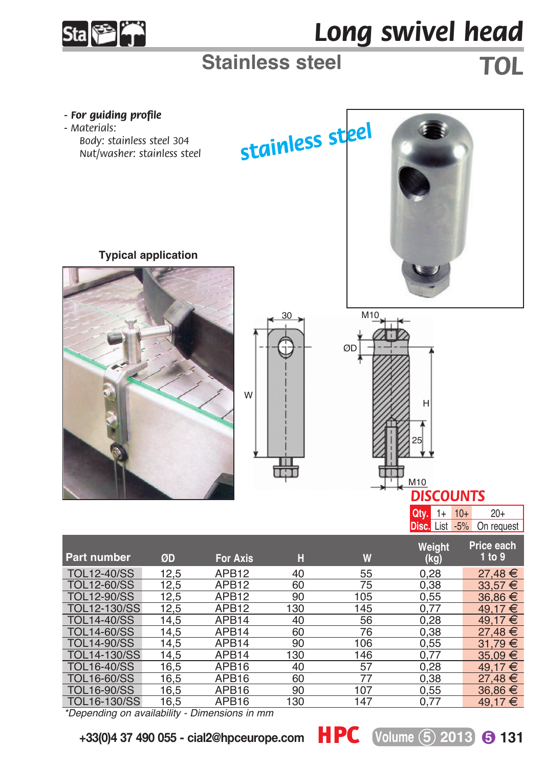

## *Long swivel head*

## **Stainless steel** *TOL*



*\*Depending on availability - Dimensions in mm*